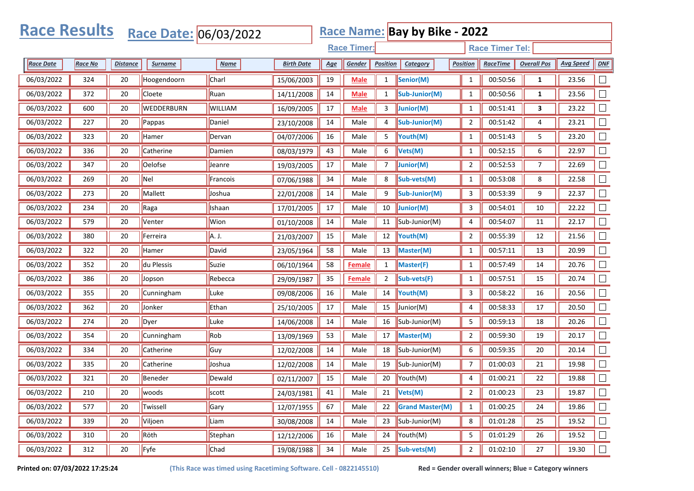|                  | <b>Race Results</b><br>Race Name: Bay by Bike - 2022<br>Race Date: 06/03/2022 |                 |                |                |                   |            |                    |                 |                                            |                 |                        |                    |                  |                  |  |  |
|------------------|-------------------------------------------------------------------------------|-----------------|----------------|----------------|-------------------|------------|--------------------|-----------------|--------------------------------------------|-----------------|------------------------|--------------------|------------------|------------------|--|--|
|                  |                                                                               |                 |                |                |                   |            | <b>Race Timer:</b> |                 |                                            |                 | <b>Race Timer Tel:</b> |                    |                  |                  |  |  |
| <b>Race Date</b> | Race No                                                                       | <b>Distance</b> | <b>Surname</b> | Name           | <b>Birth Date</b> | <u>Age</u> | Gender             | Position        | Category                                   | <b>Position</b> | <b>RaceTime</b>        | <b>Overall Pos</b> | <b>Avg Speed</b> | DNE              |  |  |
| 06/03/2022       | 324                                                                           | 20              | Hoogendoorn    | Charl          | 15/06/2003        | 19         | <b>Male</b>        | $\mathbf{1}$    | Senior(M)                                  | $\mathbf{1}$    | 00:50:56               | $\mathbf{1}$       | 23.56            |                  |  |  |
| 06/03/2022       | 372                                                                           | 20              | Cloete         | Ruan           | 14/11/2008        | 14         | <b>Male</b>        | $\mathbf{1}$    | Sub-Junior(M)                              | $\mathbf{1}$    | 00:50:56               | 1                  | 23.56            |                  |  |  |
| 06/03/2022       | 600                                                                           | 20              | WEDDERBURN     | <b>WILLIAM</b> | 16/09/2005        | 17         | <b>Male</b>        | 3               | Junior(M)                                  | $\mathbf{1}$    | 00:51:41               | 3                  | 23.22            |                  |  |  |
| 06/03/2022       | 227                                                                           | 20              | Pappas         | Daniel         | 23/10/2008        | 14         | Male               | 4               | Sub-Junior(M)                              | $\overline{2}$  | 00:51:42               | 4                  | 23.21            |                  |  |  |
| 06/03/2022       | 323                                                                           | 20              | Hamer          | Dervan         | 04/07/2006        | 16         | Male               | 5               | Youth(M)                                   | $\mathbf{1}$    | 00:51:43               | 5                  | 23.20            |                  |  |  |
| 06/03/2022       | 336                                                                           | 20              | Catherine      | Damien         | 08/03/1979        | 43         | Male               | 6               | Vets(M)                                    | $\mathbf{1}$    | 00:52:15               | 6                  | 22.97            |                  |  |  |
| 06/03/2022       | 347                                                                           | 20              | Oelofse        | Jeanre         | 19/03/2005        | 17         | Male               | 7               | Junior(M)                                  | $\overline{2}$  | 00:52:53               | 7                  | 22.69            |                  |  |  |
| 06/03/2022       | 269                                                                           | 20              | Nel            | Francois       | 07/06/1988        | 34         | Male               | 8               | Sub-vets(M)                                | $\mathbf{1}$    | 00:53:08               | 8                  | 22.58            |                  |  |  |
| 06/03/2022       | 273                                                                           | 20              | Mallett        | Joshua         | 22/01/2008        | 14         | Male               | 9               | Sub-Junior(M)                              | 3               | 00:53:39               | 9                  | 22.37            |                  |  |  |
| 06/03/2022       | 234                                                                           | 20              | Raga           | Ishaan         | 17/01/2005        | 17         | Male               | 10              | Junior(M)                                  | 3               | 00:54:01               | 10                 | 22.22            |                  |  |  |
| 06/03/2022       | 579                                                                           | 20              | Venter         | Wion           | 01/10/2008        | 14         | Male               | 11              | Sub-Junior(M)                              | 4               | 00:54:07               | 11                 | 22.17            |                  |  |  |
| 06/03/2022       | 380                                                                           | 20              | Ferreira       | A. J.          | 21/03/2007        | 15         | Male               | 12              | Youth(M)                                   | $\overline{2}$  | 00:55:39               | 12                 | 21.56            |                  |  |  |
| 06/03/2022       | 322                                                                           | 20              | Hamer          | David          | 23/05/1964        | 58         | Male               | 13              | Master(M)                                  | $\mathbf{1}$    | 00:57:11               | 13                 | 20.99            |                  |  |  |
| 06/03/2022       | 352                                                                           | 20              | du Plessis     | Suzie          | 06/10/1964        | 58         | Female             | $\mathbf{1}$    | Master(F)                                  | $\mathbf{1}$    | 00:57:49               | 14                 | 20.76            |                  |  |  |
| 06/03/2022       | 386                                                                           | 20              | Jopson         | Rebecca        | 29/09/1987        | 35         | <b>Female</b>      | $\overline{2}$  | Sub-vets(F)                                | $\mathbf{1}$    | 00:57:51               | 15                 | 20.74            |                  |  |  |
| 06/03/2022       | 355                                                                           | 20              | Cunningham     | Luke           | 09/08/2006        | 16         | Male               | 14              | Youth(M)                                   | 3               | 00:58:22               | 16                 | 20.56            |                  |  |  |
| 06/03/2022       | 362                                                                           | 20              | Jonker         | Ethan          | 25/10/2005        | 17         | Male               | 15              | Junior(M)                                  | $\overline{4}$  | 00:58:33               | 17                 | 20.50            |                  |  |  |
| 06/03/2022       | 274                                                                           | 20              | Dyer           | Luke           | 14/06/2008        | 14         | Male               | 16              | Sub-Junior(M)                              | 5               | 00:59:13               | 18                 | 20.26            |                  |  |  |
| 06/03/2022       | 354                                                                           | 20              | Cunningham     | Rob            | 13/09/1969        | 53         | Male               | 17              | Master(M)                                  | $\overline{2}$  | 00:59:30               | 19                 | 20.17            |                  |  |  |
| 06/03/2022       | 334                                                                           | 20              | Catherine      | Guy            | 12/02/2008        | 14         | Male               | 18              | Sub-Junior(M)                              | 6               | 00:59:35               | 20                 | 20.14            |                  |  |  |
| 06/03/2022       | 335                                                                           | 20              | Catherine      | Joshua         | 12/02/2008        | 14         | Male               | 19              | Sub-Junior(M)                              | $\overline{7}$  | 01:00:03               | 21                 | 19.98            |                  |  |  |
| 06/03/2022       | 321                                                                           | 20              | Beneder        | Dewald         | 02/11/2007        | 15         | Male               | 20              | Youth(M)                                   | $\overline{4}$  | 01:00:21               | 22                 | 19.88            |                  |  |  |
| 06/03/2022       | 210                                                                           | 20              | woods          | scott          | 24/03/1981        | 41         | Male               | $\overline{21}$ | $\sqrt{\text{Vets}(\text{M})}$             | $\mathbf{2}$    | 01:00:23               | 23                 | 19.87            | $\hfill \square$ |  |  |
| 06/03/2022       | 577                                                                           | 20              | Twissell       | Gary           | 12/07/1955        | 67         | Male               | 22              | <b>Grand Master(M)</b>                     | $\mathbf{1}$    | 01:00:25               | 24                 | 19.86            | $\Box$           |  |  |
| 06/03/2022       | 339                                                                           | 20              | Viljoen        | Liam           | 30/08/2008        | 14         | Male               | 23              | $\vert$ Sub-Junior(M)                      | 8               | 01:01:28               | 25                 | 19.52            | $\Box$           |  |  |
| 06/03/2022       | 310                                                                           | 20              | Röth           | Stephan        | 12/12/2006        | 16         | Male               | 24              | $\sqrt{\text{Youth}(M)}$                   | $5\phantom{.}$  | 01:01:29               | 26                 | 19.52            | $\Box$           |  |  |
| 06/03/2022       | 312                                                                           | $20\,$          | Fyfe           | Chad           | 19/08/1988        | 34         | Male               | 25              | $\left  \text{Sub-vets}(\text{M}) \right $ | $\overline{2}$  | 01:02:10               | $27\,$             | 19.30            | $\Box$           |  |  |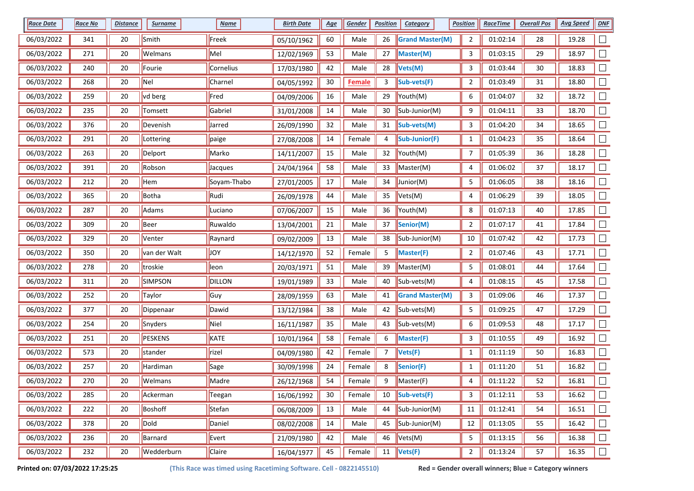| <b>Race Date</b> | <b>Race No</b> | <b>Distance</b> | <b>Surname</b> | <b>Name</b>   | <b>Birth Date</b> | <u>Age</u> | Gender        | <b>Position</b> | <b>Category</b>                                     | <b>Position</b> | <b>RaceTime</b> | <b>Overall Pos</b> | <b>Avg Speed</b> | DNF    |
|------------------|----------------|-----------------|----------------|---------------|-------------------|------------|---------------|-----------------|-----------------------------------------------------|-----------------|-----------------|--------------------|------------------|--------|
| 06/03/2022       | 341            | 20              | Smith          | Freek         | 05/10/1962        | 60         | Male          | 26              | <b>Grand Master(M)</b>                              | $\overline{2}$  | 01:02:14        | 28                 | 19.28            |        |
| 06/03/2022       | 271            | 20              | Welmans        | Mel           | 12/02/1969        | 53         | Male          | 27              | Master(M)                                           | 3               | 01:03:15        | 29                 | 18.97            |        |
| 06/03/2022       | 240            | 20              | Fourie         | Cornelius     | 17/03/1980        | 42         | Male          | 28              | Vets(M)                                             | 3               | 01:03:44        | 30                 | 18.83            |        |
| 06/03/2022       | 268            | 20              | Nel            | Charnel       | 04/05/1992        | 30         | <b>Female</b> | 3               | Sub-vets(F)                                         | $\overline{2}$  | 01:03:49        | 31                 | 18.80            |        |
| 06/03/2022       | 259            | 20              | vd berg        | Fred          | 04/09/2006        | 16         | Male          | 29              | Youth(M)                                            | 6               | 01:04:07        | 32                 | 18.72            |        |
| 06/03/2022       | 235            | 20              | Tomsett        | Gabriel       | 31/01/2008        | 14         | Male          | 30              | $\vert$ Sub-Junior(M)                               | 9               | 01:04:11        | 33                 | 18.70            | $\Box$ |
| 06/03/2022       | 376            | 20              | Devenish       | Jarred        | 26/09/1990        | 32         | Male          | 31              | $\left \mathsf{Sub\text{-}vets}(\mathsf{M})\right $ | 3               | 01:04:20        | 34                 | 18.65            |        |
| 06/03/2022       | 291            | 20              | Lottering      | paige         | 27/08/2008        | 14         | Female        | 4               | Sub-Junior(F)                                       | $\mathbf{1}$    | 01:04:23        | 35                 | 18.64            |        |
| 06/03/2022       | 263            | 20              | Delport        | Marko         | 14/11/2007        | 15         | Male          | 32              | $\sqrt{\text{Youth}(M)}$                            | 7               | 01:05:39        | 36                 | 18.28            |        |
| 06/03/2022       | 391            | 20              | Robson         | Jacques       | 24/04/1964        | 58         | Male          | 33              | Master(M)                                           | 4               | 01:06:02        | 37                 | 18.17            |        |
| 06/03/2022       | 212            | 20              | Hem            | Soyam-Thabo   | 27/01/2005        | 17         | Male          | 34              | $J$ unior(M)                                        | 5               | 01:06:05        | 38                 | 18.16            |        |
| 06/03/2022       | 365            | 20              | Botha          | Rudi          | 26/09/1978        | 44         | Male          | 35              | Vets(M)                                             | 4               | 01:06:29        | 39                 | 18.05            |        |
| 06/03/2022       | 287            | 20              | Adams          | Luciano       | 07/06/2007        | 15         | Male          | 36              | Youth(M)                                            | 8               | 01:07:13        | 40                 | 17.85            |        |
| 06/03/2022       | 309            | 20              | Beer           | Ruwaldo       | 13/04/2001        | 21         | Male          | 37              | Senior(M)                                           | $\overline{2}$  | 01:07:17        | 41                 | 17.84            |        |
| 06/03/2022       | 329            | 20              | Venter         | Raynard       | 09/02/2009        | 13         | Male          | 38              | $\vert$ Sub-Junior(M)                               | 10              | 01:07:42        | 42                 | 17.73            |        |
| 06/03/2022       | 350            | 20              | van der Walt   | JOY           | 14/12/1970        | 52         | Female        | 5               | Master(F)                                           | $\overline{2}$  | 01:07:46        | 43                 | 17.71            |        |
| 06/03/2022       | 278            | 20              | troskie        | leon          | 20/03/1971        | 51         | Male          | 39              | Master(M)                                           | 5               | 01:08:01        | 44                 | 17.64            |        |
| 06/03/2022       | 311            | 20              | SIMPSON        | DILLON        | 19/01/1989        | 33         | Male          | 40              | $\vert$ Sub-vets(M)                                 | 4               | 01:08:15        | 45                 | 17.58            |        |
| 06/03/2022       | 252            | 20              | Taylor         | Guy           | 28/09/1959        | 63         | Male          | 41              | <b>Grand Master(M)</b>                              | 3               | 01:09:06        | 46                 | 17.37            |        |
| 06/03/2022       | 377            | 20              | Dippenaar      | Dawid         | 13/12/1984        | 38         | Male          | 42              | Sub-vets(M)                                         | 5               | 01:09:25        | 47                 | 17.29            |        |
| 06/03/2022       | 254            | 20              | Snyders        | Niel          | 16/11/1987        | 35         | Male          | 43              | $\vert$ Sub-vets(M)                                 | 6               | 01:09:53        | 48                 | 17.17            |        |
| 06/03/2022       | 251            | 20              | PESKENS        | KATE          | 10/01/1964        | 58         | Female        | 6               | Master(F)                                           | 3               | 01:10:55        | 49                 | 16.92            | $\Box$ |
| 06/03/2022       | 573            | 20              | stander        | <b>Trizel</b> | 04/09/1980        | 42         | Female        | $\overline{7}$  | Vets(F)                                             | $\mathbf{1}$    | 01:11:19        | 50                 | 16.83            |        |
| 06/03/2022       | 257            | 20              | Hardiman       | Sage          | 30/09/1998        | 24         | Female        | 8               | Senior(F)                                           | $\mathbf{1}$    | 01:11:20        | 51                 | 16.82            |        |
| 06/03/2022       | 270            | 20              | Welmans        | Madre         | 26/12/1968        | 54         | Female        | 9               | Master(F)                                           | 4               | 01:11:22        | 52                 | 16.81            |        |
| 06/03/2022       | 285            | 20              | Ackerman       | Teegan        | 16/06/1992        | 30         | Female        | 10              | Sub-vets(F)                                         | 3               | 01:12:11        | 53                 | 16.62            | $\Box$ |
| 06/03/2022       | 222            | 20              | Boshoff        | Stefan        | 06/08/2009        | 13         | Male          | 44              | $\vert$ Sub-Junior(M)                               | $11\,$          | 01:12:41        | 54                 | 16.51            | $\Box$ |
| 06/03/2022       | 378            | 20              | Dold           | Daniel        | 08/02/2008        | 14         | Male          | 45              | Sub-Junior(M)                                       | 12              | 01:13:05        | 55                 | 16.42            | $\Box$ |
| 06/03/2022       | 236            | 20              | Barnard        | Evert         | 21/09/1980        | 42         | Male          | 46              | $\blacktriangleright$ Vets(M)                       | 5               | 01:13:15        | 56                 | 16.38            | $\Box$ |
| 06/03/2022       | 232            | $20\,$          | Wedderburn     | Claire        | 16/04/1977        | 45         | Female        | 11              | Vets(F)                                             | $\overline{2}$  | 01:13:24        | 57                 | 16.35            | $\Box$ |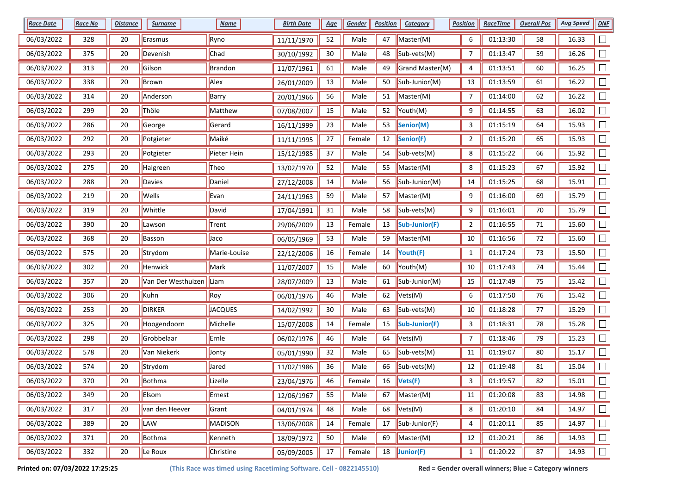| <b>Race Date</b> | <b>Race No</b> | <b>Distance</b> | <b>Surname</b>           | <b>Name</b>    | <b>Birth Date</b> | <u>Age</u> | Gender | <b>Position</b> | <b>Category</b>               | <b>Position</b> | <b>RaceTime</b> | <b>Overall Pos</b> | <b>Avg Speed</b> | DNF                         |
|------------------|----------------|-----------------|--------------------------|----------------|-------------------|------------|--------|-----------------|-------------------------------|-----------------|-----------------|--------------------|------------------|-----------------------------|
| 06/03/2022       | 328            | 20              | Erasmus                  | Ryno           | 11/11/1970        | 52         | Male   | 47              | Master(M)                     | 6               | 01:13:30        | 58                 | 16.33            |                             |
| 06/03/2022       | 375            | 20              | Devenish                 | Chad           | 30/10/1992        | $30\,$     | Male   | 48              | $\vert$ Sub-vets(M)           | 7               | 01:13:47        | 59                 | 16.26            |                             |
| 06/03/2022       | 313            | 20              | Gilson                   | Brandon        | 11/07/1961        | 61         | Male   | 49              | Grand Master(M)               | 4               | 01:13:51        | 60                 | 16.25            |                             |
| 06/03/2022       | 338            | 20              | Brown                    | Alex           | 26/01/2009        | 13         | Male   | 50              | Sub-Junior(M)                 | 13              | 01:13:59        | 61                 | 16.22            |                             |
| 06/03/2022       | 314            | 20              | Anderson                 | Barry          | 20/01/1966        | 56         | Male   | 51              | Master(M)                     | 7               | 01:14:00        | 62                 | 16.22            |                             |
| 06/03/2022       | 299            | 20              | Thöle                    | Matthew        | 07/08/2007        | 15         | Male   | 52              | $\blacksquare$ Youth $(M)$    | 9               | 01:14:55        | 63                 | 16.02            | $\Box$                      |
| 06/03/2022       | 286            | 20              | George                   | Gerard         | 16/11/1999        | 23         | Male   | 53              | Senior(M)                     | 3               | 01:15:19        | 64                 | 15.93            |                             |
| 06/03/2022       | 292            | 20              | Potgieter                | Maiké          | 11/11/1995        | 27         | Female | 12              | Senior(F)                     | 2               | 01:15:20        | 65                 | 15.93            |                             |
| 06/03/2022       | 293            | 20              | Potgieter                | Pieter Hein    | 15/12/1985        | 37         | Male   | 54              | $\vert$ Sub-vets(M)           | 8               | 01:15:22        | 66                 | 15.92            |                             |
| 06/03/2022       | 275            | 20              | Halgreen                 | Theo           | 13/02/1970        | 52         | Male   | 55              | Master(M)                     | 8               | 01:15:23        | 67                 | 15.92            |                             |
| 06/03/2022       | 288            | 20              | Davies                   | Daniel         | 27/12/2008        | 14         | Male   | 56              | $\vert$ Sub-Junior(M)         | 14              | 01:15:25        | 68                 | 15.91            |                             |
| 06/03/2022       | 219            | 20              | <b>Wells</b>             | Evan           | 24/11/1963        | 59         | Male   | 57              | Master(M)                     | 9               | 01:16:00        | 69                 | 15.79            |                             |
| 06/03/2022       | 319            | 20              | Whittle                  | David          | 17/04/1991        | 31         | Male   | 58              | $\vert$ Sub-vets(M)           | 9               | 01:16:01        | 70                 | 15.79            |                             |
| 06/03/2022       | 390            | 20              | Lawson                   | Trent          | 29/06/2009        | 13         | Female | 13              | Sub-Junior(F)                 | $\overline{2}$  | 01:16:55        | 71                 | 15.60            | $\Box$                      |
| 06/03/2022       | 368            | 20              | Basson                   | Jaco           | 06/05/1969        | 53         | Male   | 59              | Master(M)                     | 10              | 01:16:56        | 72                 | 15.60            |                             |
| 06/03/2022       | 575            | 20              | Strydom                  | Marie-Louise   | 22/12/2006        | 16         | Female | 14              | Youth(F)                      | $\mathbf{1}$    | 01:17:24        | 73                 | 15.50            |                             |
| 06/03/2022       | 302            | 20              | Henwick                  | Mark           | 11/07/2007        | 15         | Male   | 60              | Youth(M)                      | 10              | 01:17:43        | 74                 | 15.44            |                             |
| 06/03/2022       | 357            | 20              | Van Der Westhuizen  Liam |                | 28/07/2009        | 13         | Male   | 61              | $\vert$ Sub-Junior(M)         | 15              | 01:17:49        | 75                 | 15.42            |                             |
| 06/03/2022       | 306            | 20              | Kuhn                     | Roy            | 06/01/1976        | 46         | Male   | 62              | Vets(M)                       | 6               | 01:17:50        | 76                 | 15.42            |                             |
| 06/03/2022       | 253            | 20              | <b>DIRKER</b>            | <b>JACQUES</b> | 14/02/1992        | $30\,$     | Male   | 63              | Sub-vets(M)                   | 10              | 01:18:28        | 77                 | 15.29            |                             |
| 06/03/2022       | 325            | 20              | Hoogendoorn              | Michelle       | 15/07/2008        | 14         | Female | 15              | Sub-Junior(F)                 | 3               | 01:18:31        | 78                 | 15.28            |                             |
| 06/03/2022       | 298            | 20              | Grobbelaar               | Ernle          | 06/02/1976        | 46         | Male   | 64              | $\blacktriangleright$ Vets(M) | $\overline{7}$  | 01:18:46        | 79                 | 15.23            | $\Box$                      |
| 06/03/2022       | 578            | 20              | Van Niekerk              | Jonty          | 05/01/1990        | 32         | Male   | 65              | Sub-vets(M)                   | 11              | 01:19:07        | 80                 | 15.17            |                             |
| 06/03/2022       | 574            | 20              | Strydom                  | Jared          | 11/02/1986        | 36         | Male   | 66              | Sub-vets(M)                   | 12              | 01:19:48        | 81                 | 15.04            |                             |
| 06/03/2022       | 370            | 20              | Bothma                   | Lizelle        | 23/04/1976        | 46         | Female | 16              | Vets(F)                       | 3               | 01:19:57        | 82                 | 15.01            |                             |
| 06/03/2022       | 349            | 20              | Elsom                    | Ernest         | 12/06/1967        | 55         | Male   | 67              | Master(M)                     | 11              | 01:20:08        | 83                 | 14.98            | $\Box$                      |
| 06/03/2022       | 317            | 20              | van den Heever           | Grant          | 04/01/1974        | 48         | Male   | 68              | $\blacktriangleright$ Vets(M) | 8               | 01:20:10        | 84                 | 14.97            | $\mathcal{L}_{\mathcal{A}}$ |
| 06/03/2022       | 389            | 20              | LAW                      | MADISON        | 13/06/2008        | 14         | Female | 17              | Sub-Junior(F)                 | 4               | 01:20:11        | 85                 | 14.97            | $\Box$                      |
| 06/03/2022       | 371            | 20              | Bothma                   | Kenneth        | 18/09/1972        | 50         | Male   | 69              | Master(M)                     | 12              | 01:20:21        | 86                 | 14.93            |                             |
| 06/03/2022       | 332            | 20              | Le Roux                  | Christine      | 05/09/2005        | 17         | Female | 18              | $\vert$ Junior(F)             | $\mathbf{1}$    | 01:20:22        | 87                 | 14.93            | $\Box$                      |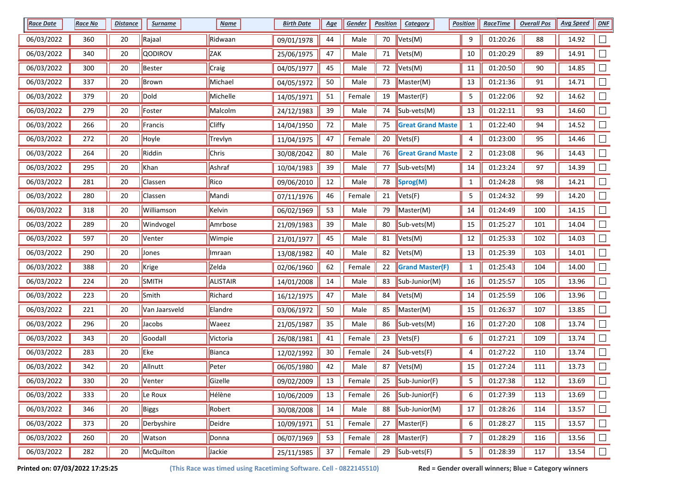| <b>Race Date</b> | <b>Race No</b> | <b>Distance</b> | <b>Surname</b> | <b>Name</b>   | <b>Birth Date</b> | <u>Age</u> | Gender | <b>Position</b> | <b>Category</b>                        | <b>Position</b> | <b>RaceTime</b> | <b>Overall Pos</b> | <b>Avg Speed</b> | DNF                         |
|------------------|----------------|-----------------|----------------|---------------|-------------------|------------|--------|-----------------|----------------------------------------|-----------------|-----------------|--------------------|------------------|-----------------------------|
| 06/03/2022       | 360            | 20              | Rajaal         | Ridwaan       | 09/01/1978        | 44         | Male   | 70              | Vets(M)                                | 9               | 01:20:26        | 88                 | 14.92            |                             |
| 06/03/2022       | 340            | 20              | <b>QODIROV</b> | ZAK           | 25/06/1975        | 47         | Male   | 71              | $\blacktriangleright$ Vets(M)          | 10              | 01:20:29        | 89                 | 14.91            |                             |
| 06/03/2022       | 300            | 20              | Bester         | Craig         | 04/05/1977        | 45         | Male   | 72              | Vets(M)                                | 11              | 01:20:50        | 90                 | 14.85            |                             |
| 06/03/2022       | 337            | 20              | Brown          | Michael       | 04/05/1972        | 50         | Male   | 73              | Master(M)                              | 13              | 01:21:36        | 91                 | 14.71            |                             |
| 06/03/2022       | 379            | 20              | Dold           | Michelle      | 14/05/1971        | 51         | Female | 19              | Master(F)                              | 5               | 01:22:06        | 92                 | 14.62            |                             |
| 06/03/2022       | 279            | 20              | Foster         | Malcolm       | 24/12/1983        | 39         | Male   | 74              | $\vert$ Sub-vets(M)                    | 13              | 01:22:11        | 93                 | 14.60            | $\Box$                      |
| 06/03/2022       | 266            | 20              | Francis        | <b>Cliffy</b> | 14/04/1950        | 72         | Male   | 75              | <b>Great Grand Maste</b>               | $\mathbf{1}$    | 01:22:40        | 94                 | 14.52            |                             |
| 06/03/2022       | 272            | 20              | Hoyle          | Trevlyn       | 11/04/1975        | 47         | Female | 20              | Vets(F)                                | 4               | 01:23:00        | 95                 | 14.46            |                             |
| 06/03/2022       | 264            | 20              | Riddin         | Chris         | 30/08/2042        | 80         | Male   | 76              | <b>Great Grand Maste</b>               | $\overline{2}$  | 01:23:08        | 96                 | 14.43            |                             |
| 06/03/2022       | 295            | 20              | Khan           | Ashraf        | 10/04/1983        | 39         | Male   | 77              | $\mathsf{Sub\text{-}vets}(\mathsf{M})$ | 14              | 01:23:24        | 97                 | 14.39            |                             |
| 06/03/2022       | 281            | 20              | Classen        | Rico          | 09/06/2010        | 12         | Male   | 78              | $\sqrt{\text{Sprog}(M)}$               | 1               | 01:24:28        | 98                 | 14.21            |                             |
| 06/03/2022       | 280            | 20              | Classen        | Mandi         | 07/11/1976        | 46         | Female | 21              | $\blacktriangleright$ Vets(F)          | 5               | 01:24:32        | 99                 | 14.20            |                             |
| 06/03/2022       | 318            | 20              | Williamson     | Kelvin        | 06/02/1969        | 53         | Male   | 79              | Master(M)                              | 14              | 01:24:49        | 100                | 14.15            |                             |
| 06/03/2022       | 289            | 20              | Windvogel      | Amrbose       | 21/09/1983        | 39         | Male   | 80              | Sub-vets(M)                            | 15              | 01:25:27        | 101                | 14.04            | $\Box$                      |
| 06/03/2022       | 597            | 20              | Venter         | Wimpie        | 21/01/1977        | 45         | Male   | 81              | Vets(M)                                | 12              | 01:25:33        | 102                | 14.03            |                             |
| 06/03/2022       | 290            | 20              | Jones          | Imraan        | 13/08/1982        | 40         | Male   | 82              | Vets(M)                                | 13              | 01:25:39        | 103                | 14.01            |                             |
| 06/03/2022       | 388            | 20              | Krige          | Zelda         | 02/06/1960        | 62         | Female | 22              | <b>Grand Master(F)</b>                 | $\mathbf{1}$    | 01:25:43        | 104                | 14.00            |                             |
| 06/03/2022       | 224            | 20              | SMITH          | ALISTAIR      | 14/01/2008        | 14         | Male   | 83              | Sub-Junior(M)                          | 16              | 01:25:57        | 105                | 13.96            |                             |
| 06/03/2022       | 223            | 20              | Smith          | Richard       | 16/12/1975        | 47         | Male   | 84              | Vets(M)                                | 14              | 01:25:59        | 106                | 13.96            |                             |
| 06/03/2022       | 221            | 20              | Van Jaarsveld  | Elandre       | 03/06/1972        | 50         | Male   | 85              | Master(M)                              | 15              | 01:26:37        | 107                | 13.85            |                             |
| 06/03/2022       | 296            | 20              | Jacobs         | Waeez         | 21/05/1987        | 35         | Male   | 86              | Sub-vets(M)                            | 16              | 01:27:20        | 108                | 13.74            |                             |
| 06/03/2022       | 343            | 20              | Goodall        | Victoria      | 26/08/1981        | 41         | Female | 23              | $\blacktriangleright$ Vets(F)          | 6               | 01:27:21        | 109                | 13.74            | $\Box$                      |
| 06/03/2022       | 283            | 20              | Eke            | Bianca        | 12/02/1992        | 30         | Female | 24              | Sub-vets(F)                            | 4               | 01:27:22        | 110                | 13.74            |                             |
| 06/03/2022       | 342            | 20              | Allnutt        | Peter         | 06/05/1980        | 42         | Male   | 87              | Vets(M)                                | 15              | 01:27:24        | 111                | 13.73            |                             |
| 06/03/2022       | 330            | 20              | Venter         | Gizelle       | 09/02/2009        | 13         | Female | 25              | $\vert$ Sub-Junior(F)                  | 5               | 01:27:38        | 112                | 13.69            |                             |
| 06/03/2022       | 333            | 20              | Le Roux        | Hélène        | 10/06/2009        | 13         | Female | 26              | $\vert$ Sub-Junior(F)                  | 6               | 01:27:39        | 113                | 13.69            | $\Box$                      |
| 06/03/2022       | 346            | 20              | Biggs          | Robert        | 30/08/2008        | 14         | Male   | 88              | Sub-Junior(M)                          | 17              | 01:28:26        | 114                | 13.57            | $\mathcal{L}_{\mathcal{A}}$ |
| 06/03/2022       | 373            | 20              | Derbyshire     | Deidre        | 10/09/1971        | 51         | Female | 27              | Master(F)                              | 6               | 01:28:27        | 115                | 13.57            | $\Box$                      |
| 06/03/2022       | 260            | 20              | Watson         | Donna         | 06/07/1969        | 53         | Female | 28              | Master(F)                              | 7               | 01:28:29        | 116                | 13.56            |                             |
| 06/03/2022       | 282            | 20              | McQuilton      | Jackie        | 25/11/1985        | 37         | Female | 29              | $Sub-vests(F)$                         | 5               | 01:28:39        | 117                | 13.54            | $\Box$                      |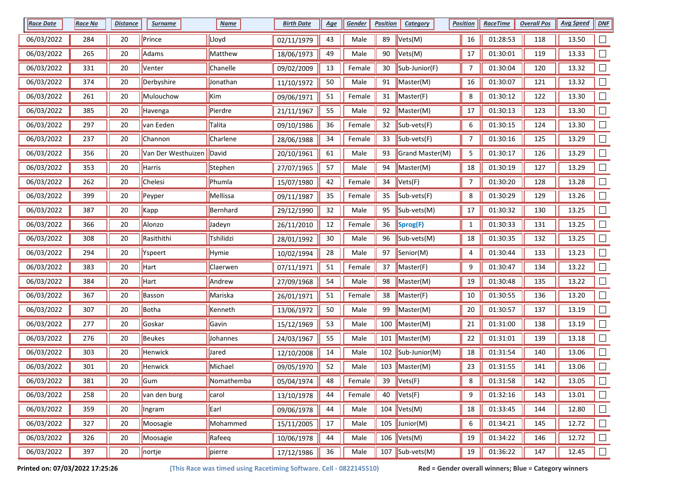| <b>Race Date</b> | <b>Race No</b> | <b>Distance</b> | <b>Surname</b>     | <b>Name</b> | <b>Birth Date</b> | <u>Age</u> | Gender | <b>Position</b> | <b>Category</b>               | <b>Position</b> | <b>RaceTime</b> | <b>Overall Pos</b> | <b>Avg Speed</b> | DNF    |
|------------------|----------------|-----------------|--------------------|-------------|-------------------|------------|--------|-----------------|-------------------------------|-----------------|-----------------|--------------------|------------------|--------|
| 06/03/2022       | 284            | 20              | Prince             | Lloyd       | 02/11/1979        | 43         | Male   | 89              | Vets(M)                       | 16              | 01:28:53        | 118                | 13.50            |        |
| 06/03/2022       | 265            | 20              | Adams              | Matthew     | 18/06/1973        | 49         | Male   | 90              | Vets(M)                       | 17              | 01:30:01        | 119                | 13.33            |        |
| 06/03/2022       | 331            | 20              | Venter             | Chanelle    | 09/02/2009        | 13         | Female | 30              | Sub-Junior(F)                 | 7               | 01:30:04        | 120                | 13.32            |        |
| 06/03/2022       | 374            | 20              | Derbyshire         | Jonathan    | 11/10/1972        | 50         | Male   | 91              | Master(M)                     | 16              | 01:30:07        | 121                | 13.32            |        |
| 06/03/2022       | 261            | 20              | Mulouchow          | Kim         | 09/06/1971        | 51         | Female | 31              | Master(F)                     | 8               | 01:30:12        | 122                | 13.30            |        |
| 06/03/2022       | 385            | 20              | Havenga            | Pierdre     | 21/11/1967        | 55         | Male   | 92              | Master(M)                     | 17              | 01:30:13        | 123                | 13.30            | $\Box$ |
| 06/03/2022       | 297            | 20              | van Eeden          | Talita      | 09/10/1986        | 36         | Female | 32              | Sub-vets(F)                   | 6               | 01:30:15        | 124                | 13.30            |        |
| 06/03/2022       | 237            | 20              | Channon            | Charlene    | 28/06/1988        | 34         | Female | 33              | Sub-vets(F)                   | 7               | 01:30:16        | 125                | 13.29            |        |
| 06/03/2022       | 356            | 20              | Van Der Westhuizen | David       | 20/10/1961        | 61         | Male   | 93              | Grand Master(M)               | 5               | 01:30:17        | 126                | 13.29            |        |
| 06/03/2022       | 353            | 20              | Harris             | Stephen     | 27/07/1965        | 57         | Male   | 94              | Master(M)                     | 18              | 01:30:19        | 127                | 13.29            |        |
| 06/03/2022       | 262            | 20              | Chelesi            | Phumla      | 15/07/1980        | 42         | Female | 34              | Vets(F)                       | 7               | 01:30:20        | 128                | 13.28            |        |
| 06/03/2022       | 399            | 20              | Peyper             | Mellissa    | 09/11/1987        | 35         | Female | 35              | Sub-vets(F)                   | 8               | 01:30:29        | 129                | 13.26            |        |
| 06/03/2022       | 387            | 20              | Kapp               | Bernhard    | 29/12/1990        | 32         | Male   | 95              | $\vert$ Sub-vets(M)           | 17              | 01:30:32        | 130                | 13.25            |        |
| 06/03/2022       | 366            | 20              | Alonzo             | Jadeyn      | 26/11/2010        | 12         | Female | 36              | Sprog(F)                      | $\mathbf{1}$    | 01:30:33        | 131                | 13.25            |        |
| 06/03/2022       | 308            | 20              | Rasithithi         | Tshilidzi   | 28/01/1992        | $30\,$     | Male   | 96              | $\vert$ Sub-vets(M)           | 18              | 01:30:35        | 132                | 13.25            |        |
| 06/03/2022       | 294            | 20              | Yspeert            | Hymie       | 10/02/1994        | 28         | Male   | 97              | Senior(M)                     | 4               | 01:30:44        | 133                | 13.23            |        |
| 06/03/2022       | 383            | 20              | Hart               | Claerwen    | 07/11/1971        | 51         | Female | 37              | Master(F)                     | 9               | 01:30:47        | 134                | 13.22            |        |
| 06/03/2022       | 384            | 20              | Hart               | Andrew      | 27/09/1968        | 54         | Male   | 98              | Master(M)                     | 19              | 01:30:48        | 135                | 13.22            |        |
| 06/03/2022       | 367            | 20              | Basson             | Mariska     | 26/01/1971        | 51         | Female | 38              | Master(F)                     | 10              | 01:30:55        | 136                | 13.20            |        |
| 06/03/2022       | 307            | 20              | Botha              | Kenneth     | 13/06/1972        | 50         | Male   | 99              | Master(M)                     | 20              | 01:30:57        | 137                | 13.19            |        |
| 06/03/2022       | 277            | 20              | Goskar             | Gavin       | 15/12/1969        | 53         | Male   | 100             | Master(M)                     | 21              | 01:31:00        | 138                | 13.19            |        |
| 06/03/2022       | 276            | 20              | Beukes             | Johannes    | 24/03/1967        | 55         | Male   | 101             | Master(M)                     | 22              | 01:31:01        | 139                | 13.18            | $\Box$ |
| 06/03/2022       | 303            | 20              | Henwick            | Jared       | 12/10/2008        | 14         | Male   | 102             | $\vert$ Sub-Junior(M)         | 18              | 01:31:54        | 140                | 13.06            |        |
| 06/03/2022       | 301            | 20              | Henwick            | Michael     | 09/05/1970        | 52         | Male   | 103             | Master(M)                     | 23              | 01:31:55        | 141                | 13.06            |        |
| 06/03/2022       | 381            | 20              | Gum                | Nomathemba  | 05/04/1974        | 48         | Female | 39              | Vets(F)                       | 8               | 01:31:58        | 142                | 13.05            |        |
| 06/03/2022       | 258            | 20              | van den burg       | carol       | 13/10/1978        | 44         | Female | 40              | $\blacktriangleright$ Vets(F) | 9               | 01:32:16        | 143                | 13.01            | $\Box$ |
| 06/03/2022       | 359            | 20              | Ingram             | Earl        | 09/06/1978        | 44         | Male   | 104             | Vets(M)                       | 18              | 01:33:45        | 144                | 12.80            | $\Box$ |
| 06/03/2022       | 327            | 20              | Moosagie           | Mohammed    | 15/11/2005        | 17         | Male   |                 | 105 $\vert$ Junior(M)         | 6               | 01:34:21        | 145                | 12.72            | $\Box$ |
| 06/03/2022       | 326            | 20              | Moosagie           | Rafeeq      | 10/06/1978        | 44         | Male   |                 | 106 $Vets(M)$                 | 19              | 01:34:22        | 146                | 12.72            | $\Box$ |
| 06/03/2022       | 397            | $20\,$          | nortje             | pierre      | 17/12/1986        | 36         | Male   | 107             | $\sqrt{\text{Sub-vets(M)}}$   | $19\,$          | 01:36:22        | 147                | 12.45            | $\Box$ |